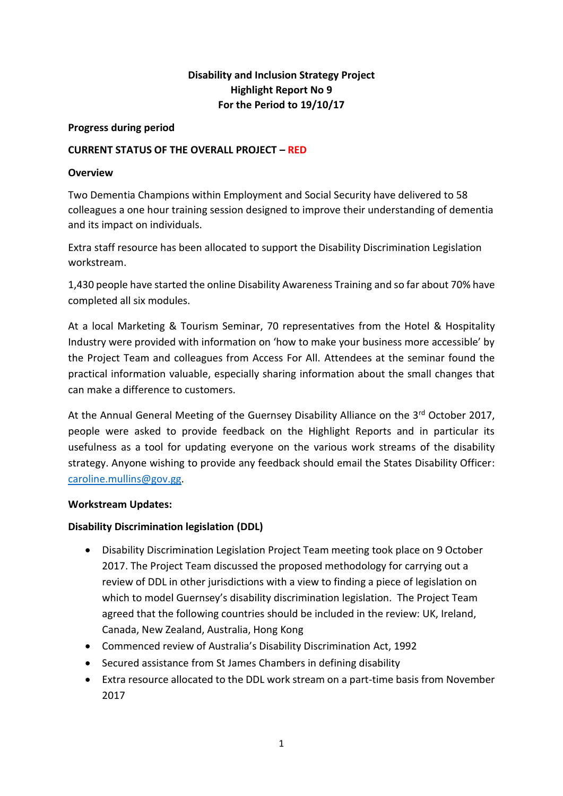# **Disability and Inclusion Strategy Project Highlight Report No 9 For the Period to 19/10/17**

#### **Progress during period**

### **CURRENT STATUS OF THE OVERALL PROJECT – RED**

### **Overview**

Two Dementia Champions within Employment and Social Security have delivered to 58 colleagues a one hour training session designed to improve their understanding of dementia and its impact on individuals.

Extra staff resource has been allocated to support the Disability Discrimination Legislation workstream.

1,430 people have started the online Disability Awareness Training and so far about 70% have completed all six modules.

At a local Marketing & Tourism Seminar, 70 representatives from the Hotel & Hospitality Industry were provided with information on 'how to make your business more accessible' by the Project Team and colleagues from Access For All. Attendees at the seminar found the practical information valuable, especially sharing information about the small changes that can make a difference to customers.

At the Annual General Meeting of the Guernsey Disability Alliance on the 3rd October 2017, people were asked to provide feedback on the Highlight Reports and in particular its usefulness as a tool for updating everyone on the various work streams of the disability strategy. Anyone wishing to provide any feedback should email the States Disability Officer: [caroline.mullins@gov.gg.](mailto:caroline.mullins@gov.gg)

#### **Workstream Updates:**

## **Disability Discrimination legislation (DDL)**

- Disability Discrimination Legislation Project Team meeting took place on 9 October 2017. The Project Team discussed the proposed methodology for carrying out a review of DDL in other jurisdictions with a view to finding a piece of legislation on which to model Guernsey's disability discrimination legislation. The Project Team agreed that the following countries should be included in the review: UK, Ireland, Canada, New Zealand, Australia, Hong Kong
- Commenced review of Australia's Disability Discrimination Act, 1992
- Secured assistance from St James Chambers in defining disability
- Extra resource allocated to the DDL work stream on a part-time basis from November 2017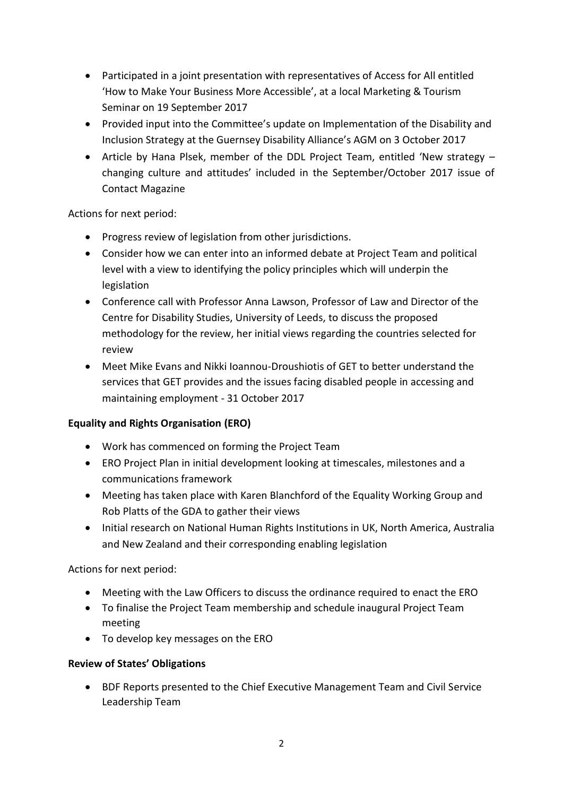- Participated in a joint presentation with representatives of Access for All entitled 'How to Make Your Business More Accessible', at a local Marketing & Tourism Seminar on 19 September 2017
- Provided input into the Committee's update on Implementation of the Disability and Inclusion Strategy at the Guernsey Disability Alliance's AGM on 3 October 2017
- Article by Hana Plsek, member of the DDL Project Team, entitled 'New strategy changing culture and attitudes' included in the September/October 2017 issue of Contact Magazine

Actions for next period:

- Progress review of legislation from other jurisdictions.
- Consider how we can enter into an informed debate at Project Team and political level with a view to identifying the policy principles which will underpin the legislation
- Conference call with Professor Anna Lawson, Professor of Law and Director of the Centre for Disability Studies, University of Leeds, to discuss the proposed methodology for the review, her initial views regarding the countries selected for review
- Meet Mike Evans and Nikki Ioannou-Droushiotis of GET to better understand the services that GET provides and the issues facing disabled people in accessing and maintaining employment - 31 October 2017

## **Equality and Rights Organisation (ERO)**

- Work has commenced on forming the Project Team
- ERO Project Plan in initial development looking at timescales, milestones and a communications framework
- Meeting has taken place with Karen Blanchford of the Equality Working Group and Rob Platts of the GDA to gather their views
- Initial research on National Human Rights Institutions in UK, North America, Australia and New Zealand and their corresponding enabling legislation

Actions for next period:

- Meeting with the Law Officers to discuss the ordinance required to enact the ERO
- To finalise the Project Team membership and schedule inaugural Project Team meeting
- To develop key messages on the ERO

## **Review of States' Obligations**

 BDF Reports presented to the Chief Executive Management Team and Civil Service Leadership Team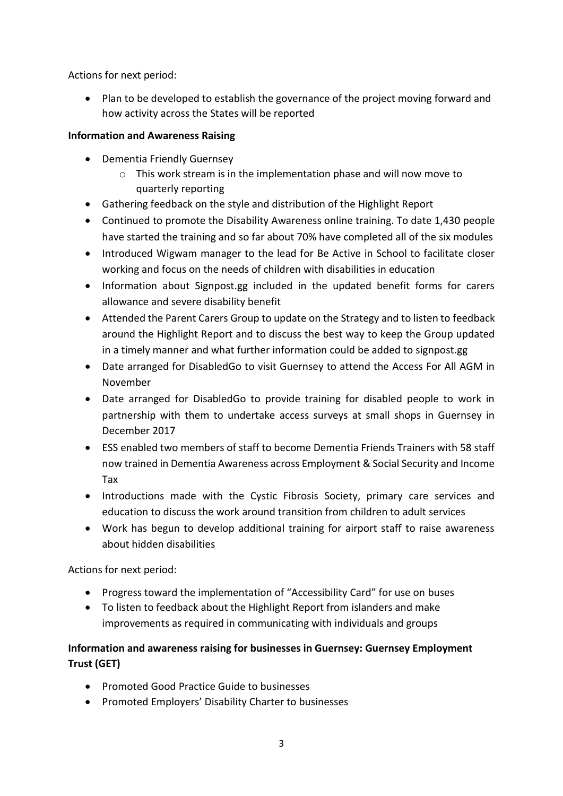Actions for next period:

 Plan to be developed to establish the governance of the project moving forward and how activity across the States will be reported

## **Information and Awareness Raising**

- Dementia Friendly Guernsey
	- o This work stream is in the implementation phase and will now move to quarterly reporting
- Gathering feedback on the style and distribution of the Highlight Report
- Continued to promote the Disability Awareness online training. To date 1,430 people have started the training and so far about 70% have completed all of the six modules
- Introduced Wigwam manager to the lead for Be Active in School to facilitate closer working and focus on the needs of children with disabilities in education
- Information about Signpost.gg included in the updated benefit forms for carers allowance and severe disability benefit
- Attended the Parent Carers Group to update on the Strategy and to listen to feedback around the Highlight Report and to discuss the best way to keep the Group updated in a timely manner and what further information could be added to signpost.gg
- Date arranged for DisabledGo to visit Guernsey to attend the Access For All AGM in November
- Date arranged for DisabledGo to provide training for disabled people to work in partnership with them to undertake access surveys at small shops in Guernsey in December 2017
- ESS enabled two members of staff to become Dementia Friends Trainers with 58 staff now trained in Dementia Awareness across Employment & Social Security and Income Tax
- Introductions made with the Cystic Fibrosis Society, primary care services and education to discuss the work around transition from children to adult services
- Work has begun to develop additional training for airport staff to raise awareness about hidden disabilities

Actions for next period:

- Progress toward the implementation of "Accessibility Card" for use on buses
- To listen to feedback about the Highlight Report from islanders and make improvements as required in communicating with individuals and groups

# **Information and awareness raising for businesses in Guernsey: Guernsey Employment Trust (GET)**

- Promoted Good Practice Guide to businesses
- Promoted Employers' Disability Charter to businesses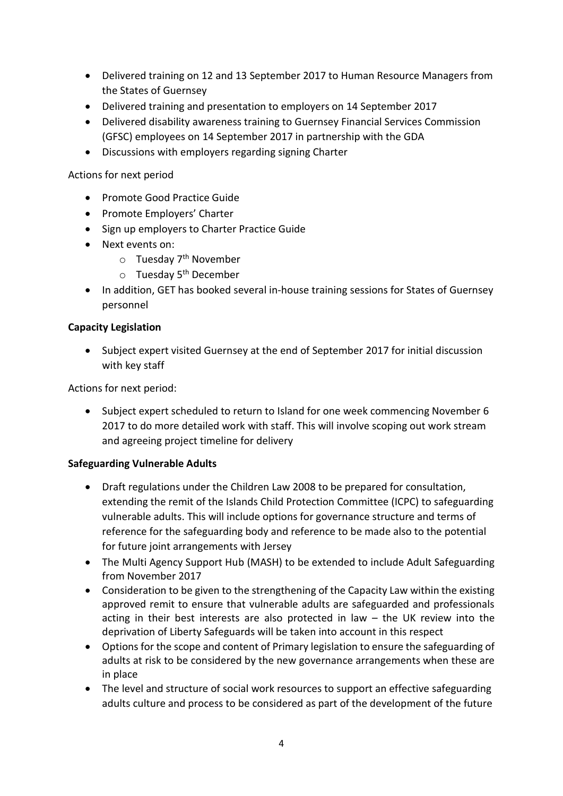- Delivered training on 12 and 13 September 2017 to Human Resource Managers from the States of Guernsey
- Delivered training and presentation to employers on 14 September 2017
- Delivered disability awareness training to Guernsey Financial Services Commission (GFSC) employees on 14 September 2017 in partnership with the GDA
- Discussions with employers regarding signing Charter

Actions for next period

- Promote Good Practice Guide
- Promote Employers' Charter
- Sign up employers to Charter Practice Guide
- Next events on:
	- $\circ$  Tuesday 7<sup>th</sup> November
	- $\circ$  Tuesday 5<sup>th</sup> December
- In addition, GET has booked several in-house training sessions for States of Guernsey personnel

### **Capacity Legislation**

 Subject expert visited Guernsey at the end of September 2017 for initial discussion with key staff

Actions for next period:

 Subject expert scheduled to return to Island for one week commencing November 6 2017 to do more detailed work with staff. This will involve scoping out work stream and agreeing project timeline for delivery

## **Safeguarding Vulnerable Adults**

- Draft regulations under the Children Law 2008 to be prepared for consultation, extending the remit of the Islands Child Protection Committee (ICPC) to safeguarding vulnerable adults. This will include options for governance structure and terms of reference for the safeguarding body and reference to be made also to the potential for future joint arrangements with Jersey
- The Multi Agency Support Hub (MASH) to be extended to include Adult Safeguarding from November 2017
- Consideration to be given to the strengthening of the Capacity Law within the existing approved remit to ensure that vulnerable adults are safeguarded and professionals acting in their best interests are also protected in law – the UK review into the deprivation of Liberty Safeguards will be taken into account in this respect
- Options for the scope and content of Primary legislation to ensure the safeguarding of adults at risk to be considered by the new governance arrangements when these are in place
- The level and structure of social work resources to support an effective safeguarding adults culture and process to be considered as part of the development of the future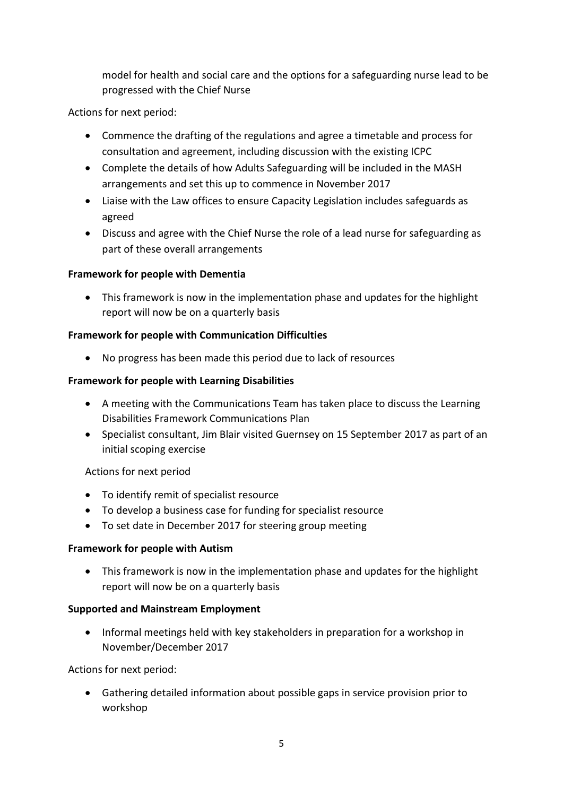model for health and social care and the options for a safeguarding nurse lead to be progressed with the Chief Nurse

Actions for next period:

- Commence the drafting of the regulations and agree a timetable and process for consultation and agreement, including discussion with the existing ICPC
- Complete the details of how Adults Safeguarding will be included in the MASH arrangements and set this up to commence in November 2017
- Liaise with the Law offices to ensure Capacity Legislation includes safeguards as agreed
- Discuss and agree with the Chief Nurse the role of a lead nurse for safeguarding as part of these overall arrangements

## **Framework for people with Dementia**

• This framework is now in the implementation phase and updates for the highlight report will now be on a quarterly basis

## **Framework for people with Communication Difficulties**

No progress has been made this period due to lack of resources

## **Framework for people with Learning Disabilities**

- A meeting with the Communications Team has taken place to discuss the Learning Disabilities Framework Communications Plan
- Specialist consultant, Jim Blair visited Guernsey on 15 September 2017 as part of an initial scoping exercise

## Actions for next period

- To identify remit of specialist resource
- To develop a business case for funding for specialist resource
- To set date in December 2017 for steering group meeting

## **Framework for people with Autism**

 This framework is now in the implementation phase and updates for the highlight report will now be on a quarterly basis

## **Supported and Mainstream Employment**

• Informal meetings held with key stakeholders in preparation for a workshop in November/December 2017

Actions for next period:

 Gathering detailed information about possible gaps in service provision prior to workshop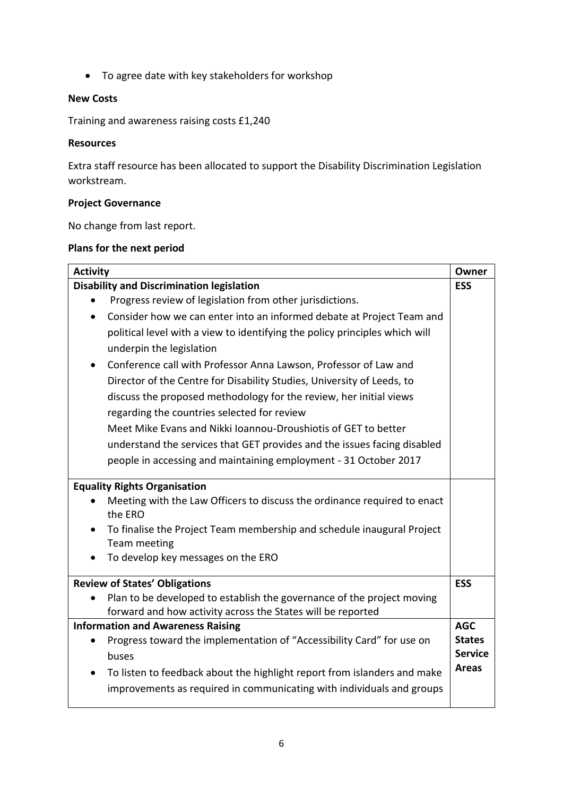To agree date with key stakeholders for workshop

## **New Costs**

Training and awareness raising costs £1,240

#### **Resources**

Extra staff resource has been allocated to support the Disability Discrimination Legislation workstream.

## **Project Governance**

No change from last report.

### **Plans for the next period**

| <b>Activity</b>                                                                       |                |  |
|---------------------------------------------------------------------------------------|----------------|--|
| <b>Disability and Discrimination legislation</b>                                      | <b>ESS</b>     |  |
| Progress review of legislation from other jurisdictions.                              |                |  |
| Consider how we can enter into an informed debate at Project Team and<br>$\bullet$    |                |  |
| political level with a view to identifying the policy principles which will           |                |  |
| underpin the legislation                                                              |                |  |
| Conference call with Professor Anna Lawson, Professor of Law and<br>$\bullet$         |                |  |
| Director of the Centre for Disability Studies, University of Leeds, to                |                |  |
| discuss the proposed methodology for the review, her initial views                    |                |  |
| regarding the countries selected for review                                           |                |  |
| Meet Mike Evans and Nikki Joannou-Droushiotis of GET to better                        |                |  |
| understand the services that GET provides and the issues facing disabled              |                |  |
| people in accessing and maintaining employment - 31 October 2017                      |                |  |
|                                                                                       |                |  |
| <b>Equality Rights Organisation</b>                                                   |                |  |
| Meeting with the Law Officers to discuss the ordinance required to enact<br>the ERO   |                |  |
| To finalise the Project Team membership and schedule inaugural Project                |                |  |
| Team meeting                                                                          |                |  |
| To develop key messages on the ERO                                                    |                |  |
| <b>Review of States' Obligations</b>                                                  |                |  |
| Plan to be developed to establish the governance of the project moving                |                |  |
| forward and how activity across the States will be reported                           |                |  |
| <b>Information and Awareness Raising</b>                                              | <b>AGC</b>     |  |
| Progress toward the implementation of "Accessibility Card" for use on                 | <b>States</b>  |  |
| buses                                                                                 | <b>Service</b> |  |
| To listen to feedback about the highlight report from islanders and make<br>$\bullet$ | <b>Areas</b>   |  |
| improvements as required in communicating with individuals and groups                 |                |  |